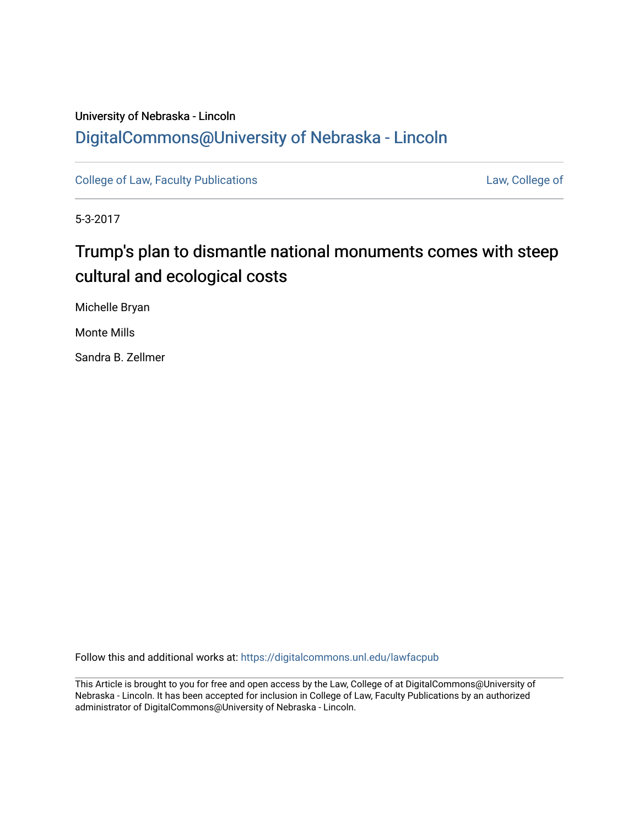# University of Nebraska - Lincoln [DigitalCommons@University of Nebraska - Lincoln](https://digitalcommons.unl.edu/)

[College of Law, Faculty Publications](https://digitalcommons.unl.edu/lawfacpub) **[Law, College of](https://digitalcommons.unl.edu/law) Law, College of** 

5-3-2017

# Trump's plan to dismantle national monuments comes with steep cultural and ecological costs

Michelle Bryan

Monte Mills

Sandra B. Zellmer

Follow this and additional works at: [https://digitalcommons.unl.edu/lawfacpub](https://digitalcommons.unl.edu/lawfacpub?utm_source=digitalcommons.unl.edu%2Flawfacpub%2F216&utm_medium=PDF&utm_campaign=PDFCoverPages) 

This Article is brought to you for free and open access by the Law, College of at DigitalCommons@University of Nebraska - Lincoln. It has been accepted for inclusion in College of Law, Faculty Publications by an authorized administrator of DigitalCommons@University of Nebraska - Lincoln.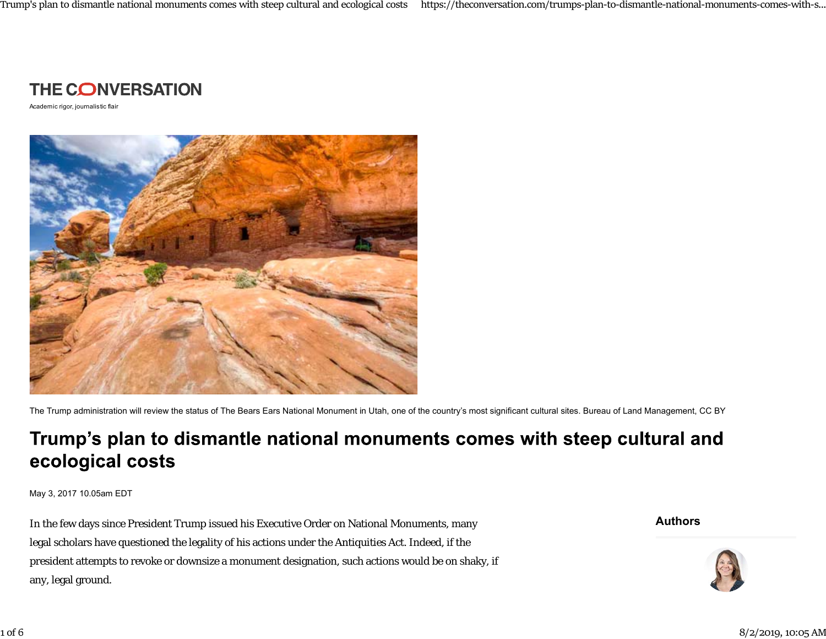

Academic rigor, journalistic flair



The Trump administration will review the status of The Bears Ears National Monument in Utah, one of the country's most significant cultural sites. Bureau of Land Management, CC BY

# Trump's plan to dismantle national monuments comes with steep cultural and ecological costs

May 3, 2017 10.05am EDT

In the few days since President Trump issued his Executive Order on National Monuments, many legal scholars have questioned the legality of his actions under the Antiquities Act. Indeed, if the president attempts to revoke or downsize a monument designation, such actions would be on shaky, if any, legal ground.

**Authors**

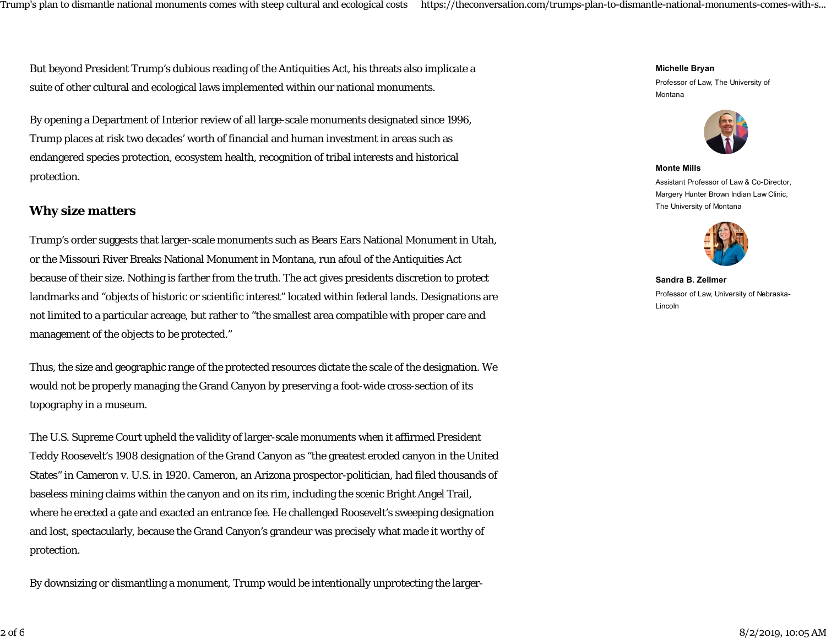But beyond President Trump's dubious reading of the Antiquities Act, his threats also implicate a suite of other cultural and ecological laws implemented within our national monuments.

By opening a Department of Interior review of all large-scale monuments designated since 1996, Trump places at risk two decades' worth of financial and human investment in areas such as endangered species protection, ecosystem health, recognition of tribal interests and historical protection.

#### **Why size matters**

Trump's order suggests that larger-scale monuments such as Bears Ears National Monument in Utah, or the Missouri River Breaks National Monument in Montana, run afoul of the Antiquities Act because of their size. Nothing is farther from the truth. The act gives presidents discretion to protect landmarks and "objects of historic or scientific interest" located within federal lands. Designations are not limited to a particular acreage, but rather to "the smallest area compatible with proper care and management of the objects to be protected."

Thus, the size and geographic range of the protected resources dictate the scale of the designation. We would not be properly managing the Grand Canyon by preserving a foot-wide cross-section of its topography in a museum.

The U.S. Supreme Court upheld the validity of larger-scale monuments when it affirmed President Teddy Roosevelt's 1908 designation of the Grand Canyon as "the greatest eroded canyon in the United States" in Cameron v. U.S. in 1920. Cameron, an Arizona prospector-politician, had filed thousands of baseless mining claims within the canyon and on its rim, including the scenic Bright Angel Trail, where he erected a gate and exacted an entrance fee. He challenged Roosevelt's sweeping designation and lost, spectacularly, because the Grand Canyon's grandeur was precisely what made it worthy of protection.

By downsizing or dismantling a monument, Trump would be intentionally unprotecting the larger-

**Michelle Bryan**

Professor of Law, The University of Montana



**Monte Mills**Assistant Professor of Law & Co-Director, Margery Hunter Brown Indian Law Clinic, The University of Montana



**Sandra B. Zellmer** Professor of Law, University of Nebraska-Lincoln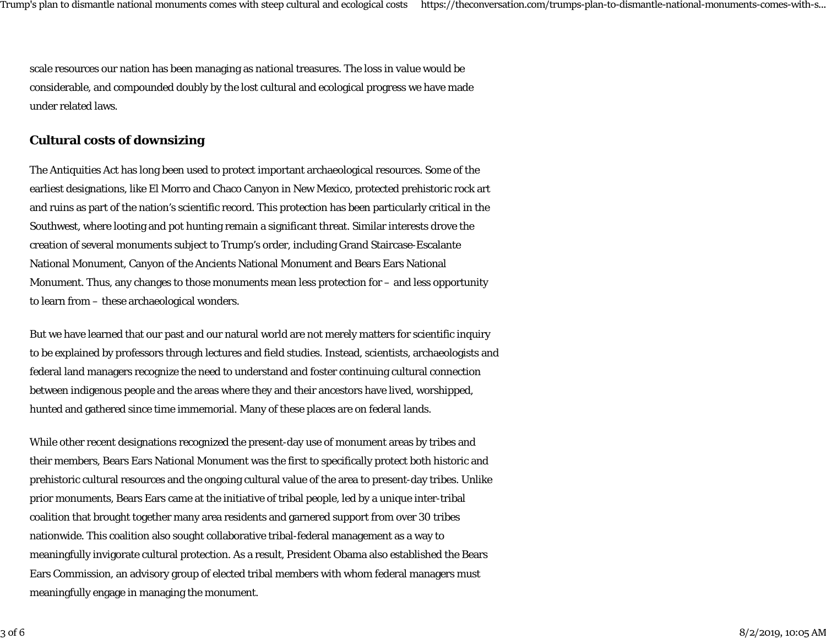scale resources our nation has been managing as national treasures. The loss in value would be considerable, and compounded doubly by the lost cultural and ecological progress we have made under related laws.

### **Cultural costs of downsizing**

The Antiquities Act has long been used to protect important archaeological resources. Some of the earliest designations, like El Morro and Chaco Canyon in New Mexico, protected prehistoric rock art and ruins as part of the nation's scientific record. This protection has been particularly critical in the Southwest, where looting and pot hunting remain a significant threat. Similar interests drove the creation of several monuments subject to Trump's order, including Grand Staircase-Escalante National Monument, Canyon of the Ancients National Monument and Bears Ears National Monument. Thus, any changes to those monuments mean less protection for – and less opportunity to learn from – these archaeological wonders.

But we have learned that our past and our natural world are not merely matters for scientific inquiry to be explained by professors through lectures and field studies. Instead, scientists, archaeologists and federal land managers recognize the need to understand and foster continuing cultural connection between indigenous people and the areas where they and their ancestors have lived, worshipped, hunted and gathered since time immemorial. Many of these places are on federal lands.

While other recent designations recognized the present-day use of monument areas by tribes and their members, Bears Ears National Monument was the first to specifically protect both historic and prehistoric cultural resources and the ongoing cultural value of the area to present-day tribes. Unlike prior monuments, Bears Ears came at the initiative of tribal people, led by a unique inter-tribal coalition that brought together many area residents and garnered support from over 30 tribes nationwide. This coalition also sought collaborative tribal-federal management as a way to meaningfully invigorate cultural protection. As a result, President Obama also established the Bears Ears Commission, an advisory group of elected tribal members with whom federal managers must meaningfully engage in managing the monument.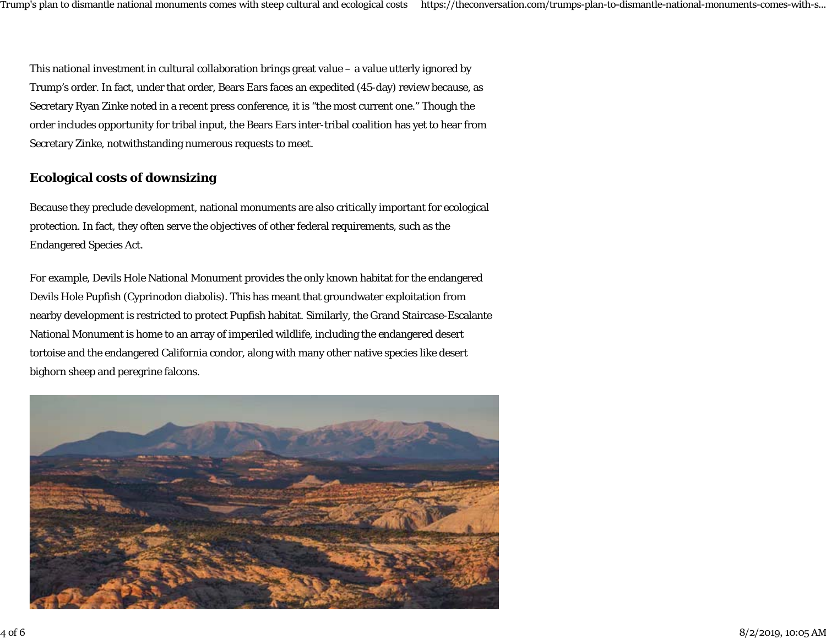This national investment in cultural collaboration brings great value – a value utterly ignored by Trump's order. In fact, under that order, Bears Ears faces an expedited (45-day) review because, as Secretary Ryan Zinke noted in a recent press conference, it is "the most current one." Though the order includes opportunity for tribal input, the Bears Ears inter-tribal coalition has yet to hear from Secretary Zinke, notwithstanding numerous requests to meet.

## **Ecological costs of downsizing**

Because they preclude development, national monuments are also critically important for ecological protection. In fact, they often serve the objectives of other federal requirements, such as the Endangered Species Act.

For example, Devils Hole National Monument provides the only known habitat for the endangered Devils Hole Pupfish (Cyprinodon diabolis). This has meant that groundwater exploitation from nearby development is restricted to protect Pupfish habitat. Similarly, the Grand Staircase-Escalante National Monument is home to an array of imperiled wildlife, including the endangered desert tortoise and the endangered California condor, along with many other native species like desert bighorn sheep and peregrine falcons.

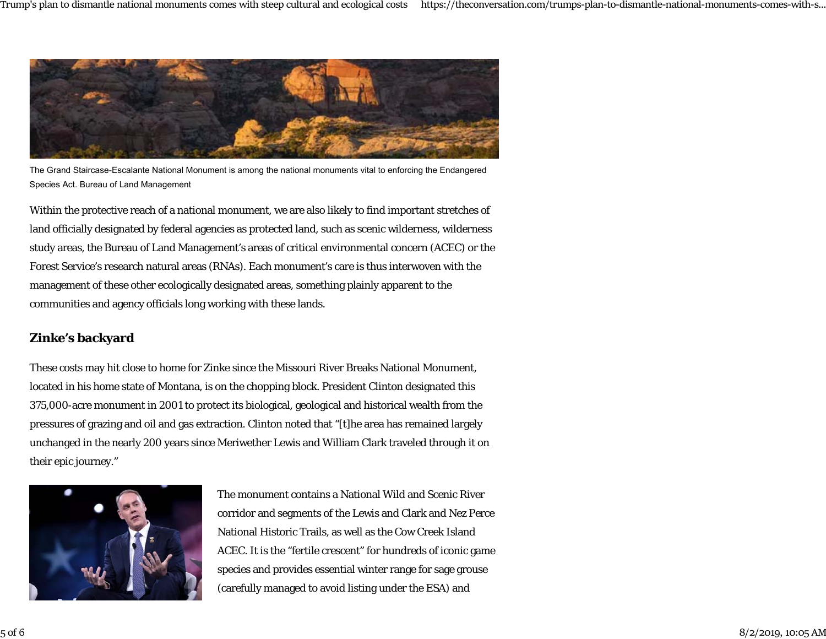

The Grand Staircase-Escalante National Monument is among the national monuments vital to enforcing the Endangered Species Act. Bureau of Land Management

Within the protective reach of a national monument, we are also likely to find important stretches of land officially designated by federal agencies as protected land, such as scenic wilderness, wilderness study areas, the Bureau of Land Management's areas of critical environmental concern (ACEC) or the Forest Service's research natural areas (RNAs). Each monument's care is thus interwoven with the management of these other ecologically designated areas, something plainly apparent to the communities and agency officials long working with these lands.

## **Zinke's backyard**

These costs may hit close to home for Zinke since the Missouri River Breaks National Monument, located in his home state of Montana, is on the chopping block. President Clinton designated this 375,000-acre monument in 2001 to protect its biological, geological and historical wealth from the pressures of grazing and oil and gas extraction. Clinton noted that "[t]he area has remained largely unchanged in the nearly 200 years since Meriwether Lewis and William Clark traveled through it on their epic journey."



The monument contains a National Wild and Scenic Rivercorridor and segments of the Lewis and Clark and Nez Perce National Historic Trails, as well as the Cow Creek Island ACEC. It is the "fertile crescent" for hundreds of iconic game species and provides essential winter range for sage grouse (carefully managed to avoid listing under the ESA) and